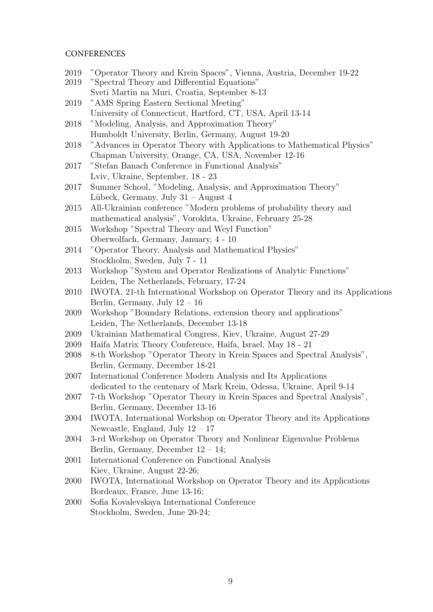## **CONFERENCES**

- 2019 "Operator Theory and Krein Spaces", Vienna, Austria, December 19-22
- 2019 "Spectral Theory and Differential Equations" Sveti Martin na Muri, Croatia, September 8-13
- 2019 "AMS Spring Eastern Sectional Meeting" University of Connecticut, Hartford, CT, USA, April 13-14
- 2018 "Modeling, Analysis, and Approximation Theory" Humboldt University, Berlin, Germany, August 19-20
- 2018 "Advances in Operator Theory with Applications to Mathematical Physics" Chapman University, Orange, CA, USA, November 12-16
- 2017 "Stefan Banach Conference in Functional Analysis" Lviv, Ukraine, September, 18 - 23
- 2017 Summer School, "Modeling, Analysis, and Approximation Theory" Lübeck, Germany, July  $31 -$ August 4
- 2015 All-Ukrainian conference "Modern problems of probability theory and mathematical analysis", Vorokhta, Ukraine, February 25-28
- 2015 Workshop "Spectral Theory and Weyl Function" Oberwolfach, Germany, January, 4 - 10
- 2014 "Operator Theory, Analysis and Mathematical Physics" Stockholm, Sweden, July 7 - 11
- 2013 Workshop "System and Operator Realizations of Analytic Functions" Leiden, The Netherlands, February, 17-24
- 2010 IWOTA, 21-th International Workshop on Operator Theory and its Applications Berlin, Germany, July 12 – 16
- 2009 Workshop "Boundary Relations, extension theory and applications" Leiden, The Netherlands, December 13-18
- 2009 Ukrainian Mathematical Congress, Kiev, Ukraine, August 27-29
- 2009 Haifa Matrix Theory Conference, Haifa, Israel, May 18 21
- 2008 8-th Workshop "Operator Theory in Krein Spaces and Spectral Analysis", Berlin, Germany, December 18-21
- 2007 International Conference Modern Analysis and Its Applications dedicated to the centenary of Mark Krein, Odessa, Ukraine, April 9-14
- 2007 7-th Workshop "Operator Theory in Krein Spaces and Spectral Analysis", Berlin, Germany, December 13-16
- 2004 IWOTA, International Workshop on Operator Theory and its Applications Newcastle, England, July 12 – 17
- 2004 3-rd Workshop on Operator Theory and Nonlinear Eigenvalue Problems Berlin, Germany, December 12 – 14;
- 2001 International Conference on Functional Analysis Kiev, Ukraine, August 22-26;
- 2000 IWOTA, International Workshop on Operator Theory and its Applications Bordeaux, France, June 13-16;
- 2000 Sofia Kovalevskaya International Conference Stockholm, Sweden, June 20-24;